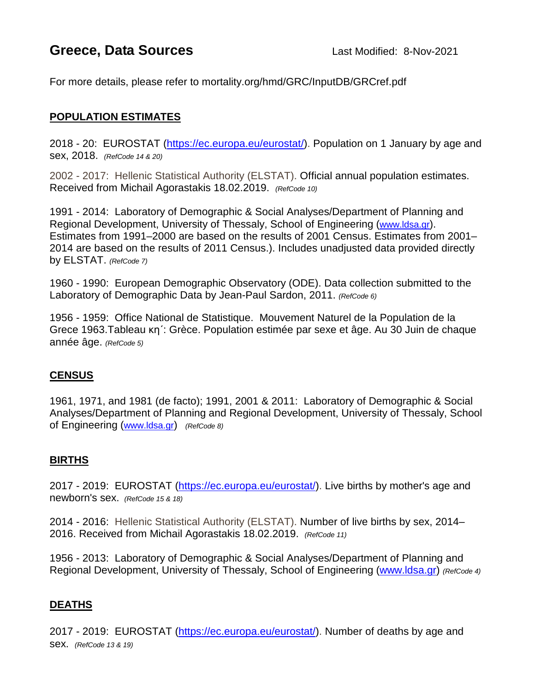# **Greece, Data Sources** Last Modified: 8-Nov-2021

For more details, please refer to mortality.org/hmd/GRC/InputDB/GRCref.pdf

# **POPULATION ESTIMATES**

2018 - 20: EUROSTAT [\(https://ec.europa.eu/eurostat/\)](https://ec.europa.eu/eurostat/de/home). Population on 1 January by age and sex, 2018. *(RefCode 14 & 20)*

2002 - 2017: Hellenic Statistical Authority (ELSTAT). Official annual population estimates. Received from Michail Agorastakis 18.02.2019. *(RefCode 10)*

1991 - 2014: Laboratory of Demographic & Social Analyses/Department of Planning and Regional Development, University of Thessaly, School of Engineering [\(www.ldsa.gr\)](http://www.ldsa.gr/). Estimates from 1991–2000 are based on the results of 2001 Census. Estimates from 2001– 2014 are based on the results of 2011 Census.). Includes unadjusted data provided directly by ELSTAT. *(RefCode 7)*

1960 - 1990: European Demographic Observatory (ODE). Data collection submitted to the Laboratory of Demographic Data by Jean-Paul Sardon, 2011. *(RefCode 6)*

1956 - 1959: Office National de Statistique. Mouvement Naturel de la Population de la Grece 1963.Tableau κη΄: Grèce. Population estimée par sexe et âge. Au 30 Juin de chaque année âge. *(RefCode 5)*

# **CENSUS**

1961, 1971, and 1981 (de facto); 1991, 2001 & 2011: Laboratory of Demographic & Social Analyses/Department of Planning and Regional Development, University of Thessaly, School of Engineering [\(www.ldsa.gr\)](http://www.ldsa.gr/) *(RefCode 8)*

### **BIRTHS**

2017 - 2019: EUROSTAT [\(https://ec.europa.eu/eurostat/\)](https://ec.europa.eu/eurostat/de/home). Live births by mother's age and newborn's sex. *(RefCode 15 & 18)*

2014 - 2016: Hellenic Statistical Authority (ELSTAT). Number of live births by sex, 2014– 2016. Received from Michail Agorastakis 18.02.2019. *(RefCode 11)*

1956 - 2013: Laboratory of Demographic & Social Analyses/Department of Planning and Regional Development, University of Thessaly, School of Engineering [\(www.ldsa.gr\)](http://www.ldsa.gr/) *(RefCode 4)*

### **DEATHS**

2017 - 2019: EUROSTAT [\(https://ec.europa.eu/eurostat/\)](https://ec.europa.eu/eurostat/de/home). Number of deaths by age and sex. *(RefCode 13 & 19)*